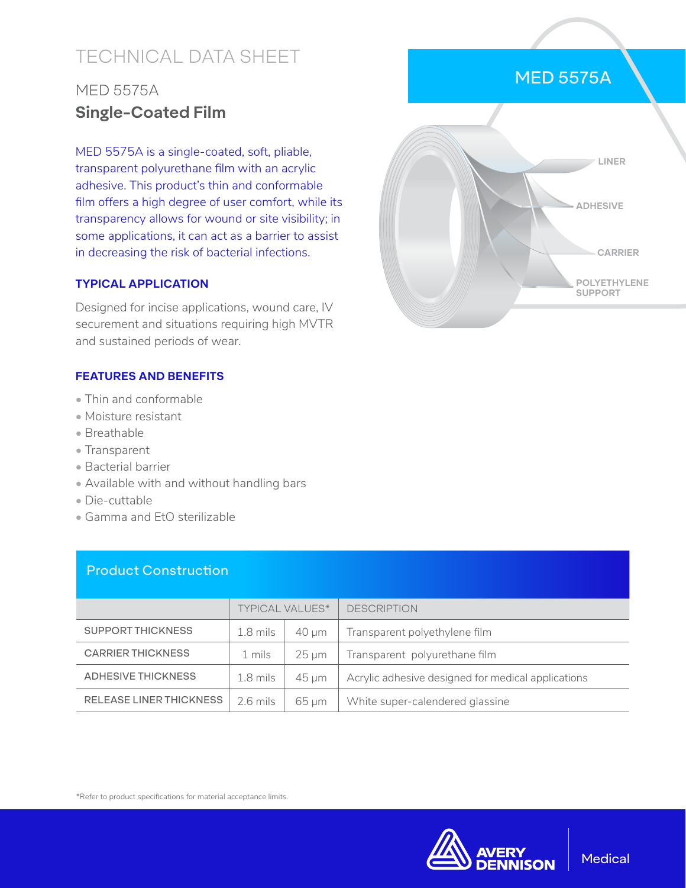# TECHNICAL DATA SHEET

# MED 5575A **Single-Coated Film**

MED 5575A is a single-coated, soft, pliable, transparent polyurethane film with an acrylic adhesive. This product's thin and conformable film offers a high degree of user comfort, while its transparency allows for wound or site visibility; in some applications, it can act as a barrier to assist in decreasing the risk of bacterial infections.

### **TYPICAL APPLICATION**

Designed for incise applications, wound care, IV securement and situations requiring high MVTR and sustained periods of wear.

### **FEATURES AND BENEFITS**

- Thin and conformable
- Moisture resistant
- Breathable
- Transparent
- Bacterial barrier
- Available with and without handling bars
- Die-cuttable
- Gamma and EtO sterilizable

|                                | <b>TYPICAL VALUES*</b> |                 | <b>DESCRIPTION</b>                                 |
|--------------------------------|------------------------|-----------------|----------------------------------------------------|
| <b>SUPPORT THICKNESS</b>       | $1.8$ mils             | $40 \mu m$      | Transparent polyethylene film                      |
| <b>CARRIER THICKNESS</b>       | 1 mils                 | $25 \mu m$      | Transparent polyurethane film                      |
| <b>ADHESIVE THICKNESS</b>      | $1.8$ mils             | $45 \text{ µm}$ | Acrylic adhesive designed for medical applications |
| <b>RELEASE LINER THICKNESS</b> | $2.6$ mils             | $65 \mu m$      | White super-calendered glassine                    |

### Product Construction

#### \*Refer to product specifications for material acceptance limits.



## MED 5575A